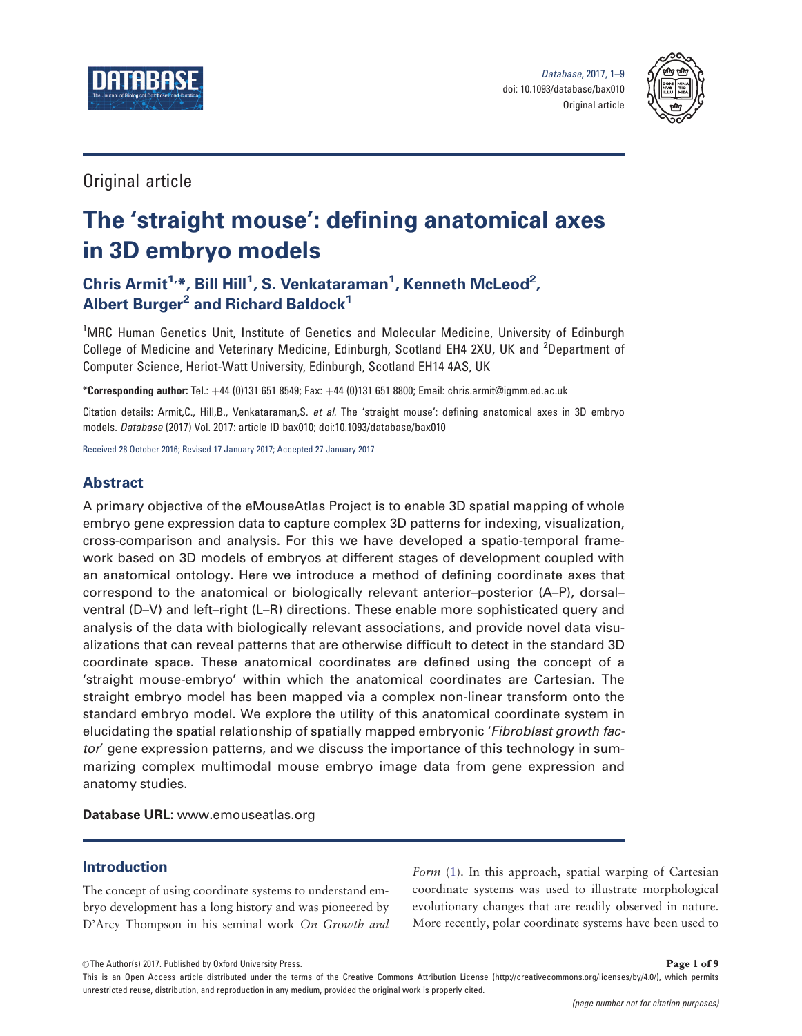

Database, 2017, 1-9 doi: 10.1093/database/bax010 Original article



# Original article

# The 'straight mouse': defining anatomical axes in 3D embryo models

## Chris Armit<sup>1,</sup>\*, Bill Hill<sup>1</sup>, S. Venkataraman<sup>1</sup>, Kenneth McLeod<sup>2</sup>, Albert Burger<sup>2</sup> and Richard Baldock<sup>1</sup>

<sup>1</sup>MRC Human Genetics Unit, Institute of Genetics and Molecular Medicine, University of Edinburgh College of Medicine and Veterinary Medicine, Edinburgh, Scotland EH4 2XU, UK and <sup>2</sup>Department of Computer Science, Heriot-Watt University, Edinburgh, Scotland EH14 4AS, UK

 $*$ Corresponding author: Tel.:  $+44$  (0)131 651 8549; Fax:  $+44$  (0)131 651 8800; Email: chris.armit@igmm.ed.ac.uk

Citation details: Armit,C., Hill,B., Venkataraman,S. et al. The 'straight mouse': defining anatomical axes in 3D embryo models. Database (2017) Vol. 2017: article ID bax010; doi:10.1093/database/bax010

Received 28 October 2016; Revised 17 January 2017; Accepted 27 January 2017

## **Abstract**

A primary objective of the eMouseAtlas Project is to enable 3D spatial mapping of whole embryo gene expression data to capture complex 3D patterns for indexing, visualization, cross-comparison and analysis. For this we have developed a spatio-temporal framework based on 3D models of embryos at different stages of development coupled with an anatomical ontology. Here we introduce a method of defining coordinate axes that correspond to the anatomical or biologically relevant anterior–posterior (A–P), dorsal– ventral (D–V) and left–right (L–R) directions. These enable more sophisticated query and analysis of the data with biologically relevant associations, and provide novel data visualizations that can reveal patterns that are otherwise difficult to detect in the standard 3D coordinate space. These anatomical coordinates are defined using the concept of a 'straight mouse-embryo' within which the anatomical coordinates are Cartesian. The straight embryo model has been mapped via a complex non-linear transform onto the standard embryo model. We explore the utility of this anatomical coordinate system in elucidating the spatial relationship of spatially mapped embryonic 'Fibroblast growth factor' gene expression patterns, and we discuss the importance of this technology in summarizing complex multimodal mouse embryo image data from gene expression and anatomy studies.

Database URL: [www.emouseatlas.org](http://www.emouseatlas.org)

## Introduction

The concept of using coordinate systems to understand embryo development has a long history and was pioneered by D'Arcy Thompson in his seminal work On Growth and Form ([1\)](#page-7-0). In this approach, spatial warping of Cartesian coordinate systems was used to illustrate morphological evolutionary changes that are readily observed in nature. More recently, polar coordinate systems have been used to

 $\circ$  The Author(s) 2017. Published by Oxford University Press.  $P$  and  $P$  and  $P$  and  $P$  and  $P$  and  $P$  and  $P$  and  $P$  and  $P$  and  $P$  and  $P$  and  $P$  and  $P$  and  $P$  and  $P$  and  $P$  and  $P$  and  $P$  and  $P$  and  $P$  an

This is an Open Access article distributed under the terms of the Creative Commons Attribution License (http://creativecommons.org/licenses/by/4.0/), which permits unrestricted reuse, distribution, and reproduction in any medium, provided the original work is properly cited.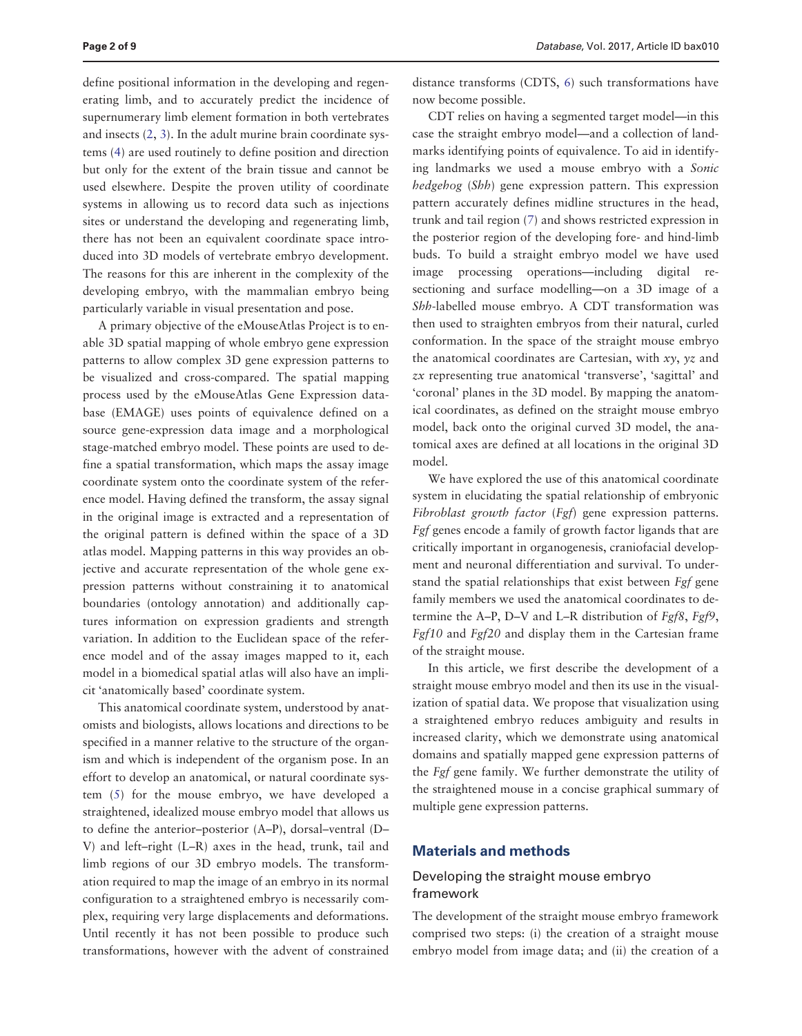define positional information in the developing and regenerating limb, and to accurately predict the incidence of supernumerary limb element formation in both vertebrates and insects ([2](#page-7-0), [3](#page-7-0)). In the adult murine brain coordinate systems [\(4](#page-7-0)) are used routinely to define position and direction but only for the extent of the brain tissue and cannot be used elsewhere. Despite the proven utility of coordinate systems in allowing us to record data such as injections sites or understand the developing and regenerating limb, there has not been an equivalent coordinate space introduced into 3D models of vertebrate embryo development. The reasons for this are inherent in the complexity of the developing embryo, with the mammalian embryo being particularly variable in visual presentation and pose.

A primary objective of the eMouseAtlas Project is to enable 3D spatial mapping of whole embryo gene expression patterns to allow complex 3D gene expression patterns to be visualized and cross-compared. The spatial mapping process used by the eMouseAtlas Gene Expression database (EMAGE) uses points of equivalence defined on a source gene-expression data image and a morphological stage-matched embryo model. These points are used to define a spatial transformation, which maps the assay image coordinate system onto the coordinate system of the reference model. Having defined the transform, the assay signal in the original image is extracted and a representation of the original pattern is defined within the space of a 3D atlas model. Mapping patterns in this way provides an objective and accurate representation of the whole gene expression patterns without constraining it to anatomical boundaries (ontology annotation) and additionally captures information on expression gradients and strength variation. In addition to the Euclidean space of the reference model and of the assay images mapped to it, each model in a biomedical spatial atlas will also have an implicit 'anatomically based' coordinate system.

This anatomical coordinate system, understood by anatomists and biologists, allows locations and directions to be specified in a manner relative to the structure of the organism and which is independent of the organism pose. In an effort to develop an anatomical, or natural coordinate system ([5\)](#page-7-0) for the mouse embryo, we have developed a straightened, idealized mouse embryo model that allows us to define the anterior–posterior (A–P), dorsal–ventral (D– V) and left–right (L–R) axes in the head, trunk, tail and limb regions of our 3D embryo models. The transformation required to map the image of an embryo in its normal configuration to a straightened embryo is necessarily complex, requiring very large displacements and deformations. Until recently it has not been possible to produce such transformations, however with the advent of constrained

distance transforms (CDTS, [6](#page-7-0)) such transformations have now become possible.

CDT relies on having a segmented target model—in this case the straight embryo model—and a collection of landmarks identifying points of equivalence. To aid in identifying landmarks we used a mouse embryo with a Sonic hedgehog (Shh) gene expression pattern. This expression pattern accurately defines midline structures in the head, trunk and tail region ([7\)](#page-7-0) and shows restricted expression in the posterior region of the developing fore- and hind-limb buds. To build a straight embryo model we have used image processing operations—including digital resectioning and surface modelling—on a 3D image of a Shh-labelled mouse embryo. A CDT transformation was then used to straighten embryos from their natural, curled conformation. In the space of the straight mouse embryo the anatomical coordinates are Cartesian, with xy, yz and zx representing true anatomical 'transverse', 'sagittal' and 'coronal' planes in the 3D model. By mapping the anatomical coordinates, as defined on the straight mouse embryo model, back onto the original curved 3D model, the anatomical axes are defined at all locations in the original 3D model.

We have explored the use of this anatomical coordinate system in elucidating the spatial relationship of embryonic Fibroblast growth factor (Fgf) gene expression patterns. Fgf genes encode a family of growth factor ligands that are critically important in organogenesis, craniofacial development and neuronal differentiation and survival. To understand the spatial relationships that exist between Fgf gene family members we used the anatomical coordinates to determine the A–P, D–V and L–R distribution of Fgf8, Fgf9, Fgf10 and Fgf20 and display them in the Cartesian frame of the straight mouse.

In this article, we first describe the development of a straight mouse embryo model and then its use in the visualization of spatial data. We propose that visualization using a straightened embryo reduces ambiguity and results in increased clarity, which we demonstrate using anatomical domains and spatially mapped gene expression patterns of the Fgf gene family. We further demonstrate the utility of the straightened mouse in a concise graphical summary of multiple gene expression patterns.

#### Materials and methods

### Developing the straight mouse embryo framework

The development of the straight mouse embryo framework comprised two steps: (i) the creation of a straight mouse embryo model from image data; and (ii) the creation of a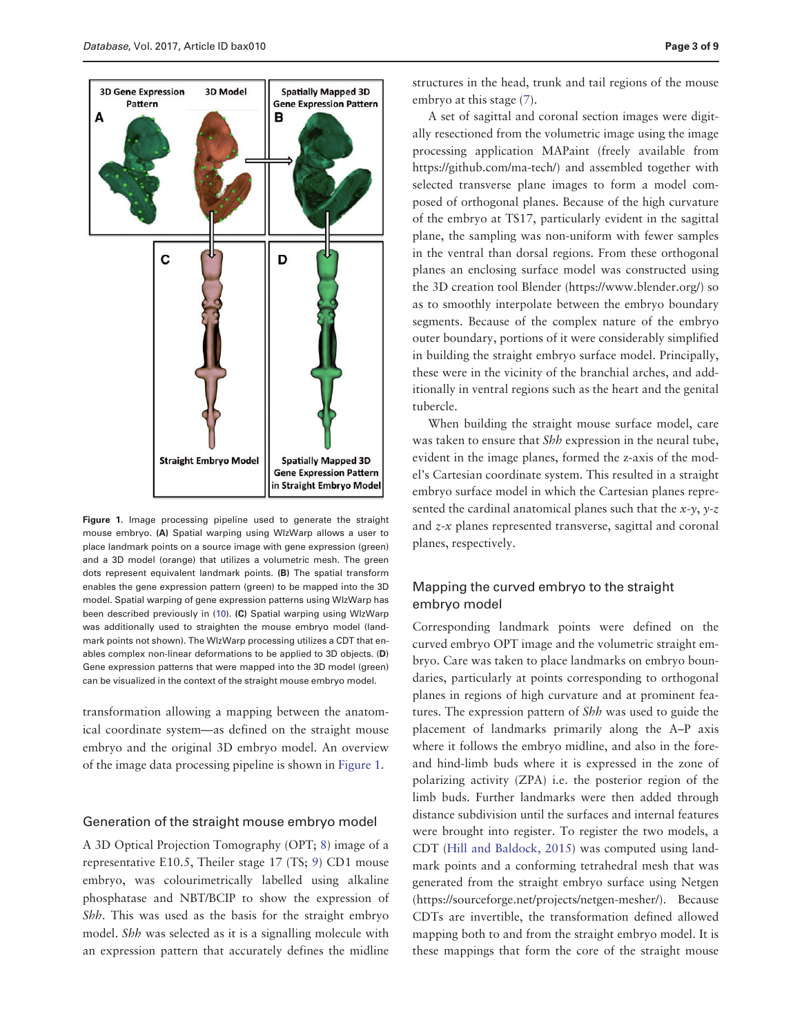

Figure 1. Image processing pipeline used to generate the straight mouse embryo. (A) Spatial warping using WlzWarp allows a user to place landmark points on a source image with gene expression (green) and a 3D model (orange) that utilizes a volumetric mesh. The green dots represent equivalent landmark points. (B) The spatial transform enables the gene expression pattern (green) to be mapped into the 3D model. Spatial warping of gene expression patterns using WlzWarp has been described previously in ([10\)](#page-7-0). (C) Spatial warping using WlzWarp was additionally used to straighten the mouse embryo model (landmark points not shown). The WlzWarp processing utilizes a CDT that enables complex non-linear deformations to be applied to 3D objects. (D) Gene expression patterns that were mapped into the 3D model (green) can be visualized in the context of the straight mouse embryo model.

transformation allowing a mapping between the anatomical coordinate system—as defined on the straight mouse embryo and the original 3D embryo model. An overview of the image data processing pipeline is shown in Figure 1.

#### Generation of the straight mouse embryo model

A 3D Optical Projection Tomography (OPT; [8\)](#page-7-0) image of a representative E10.5, Theiler stage 17 (TS; [9](#page-7-0)) CD1 mouse embryo, was colourimetrically labelled using alkaline phosphatase and NBT/BCIP to show the expression of Shh. This was used as the basis for the straight embryo model. Shh was selected as it is a signalling molecule with an expression pattern that accurately defines the midline

structures in the head, trunk and tail regions of the mouse embryo at this stage ([7\)](#page-7-0).

A set of sagittal and coronal section images were digitally resectioned from the volumetric image using the image processing application MAPaint (freely available from <https://github.com/ma-tech/>) and assembled together with selected transverse plane images to form a model composed of orthogonal planes. Because of the high curvature of the embryo at TS17, particularly evident in the sagittal plane, the sampling was non-uniform with fewer samples in the ventral than dorsal regions. From these orthogonal planes an enclosing surface model was constructed using the 3D creation tool Blender ([https://www.blender.org/\)](https://www.blender.org/) so as to smoothly interpolate between the embryo boundary segments. Because of the complex nature of the embryo outer boundary, portions of it were considerably simplified in building the straight embryo surface model. Principally, these were in the vicinity of the branchial arches, and additionally in ventral regions such as the heart and the genital tubercle.

When building the straight mouse surface model, care was taken to ensure that Shh expression in the neural tube, evident in the image planes, formed the z-axis of the model's Cartesian coordinate system. This resulted in a straight embryo surface model in which the Cartesian planes represented the cardinal anatomical planes such that the  $x-y$ ,  $y-z$ and z-x planes represented transverse, sagittal and coronal planes, respectively.

## Mapping the curved embryo to the straight embryo model

Corresponding landmark points were defined on the curved embryo OPT image and the volumetric straight embryo. Care was taken to place landmarks on embryo boundaries, particularly at points corresponding to orthogonal planes in regions of high curvature and at prominent features. The expression pattern of Shh was used to guide the placement of landmarks primarily along the A–P axis where it follows the embryo midline, and also in the foreand hind-limb buds where it is expressed in the zone of polarizing activity (ZPA) i.e. the posterior region of the limb buds. Further landmarks were then added through distance subdivision until the surfaces and internal features were brought into register. To register the two models, a CDT [\(Hill and Baldock, 2015\)](#page-7-0) was computed using landmark points and a conforming tetrahedral mesh that was generated from the straight embryo surface using Netgen [\(https://sourceforge.net/projects/netgen-mesher/](https://sourceforge.net/projects/netgen-mesher/)). Because CDTs are invertible, the transformation defined allowed mapping both to and from the straight embryo model. It is these mappings that form the core of the straight mouse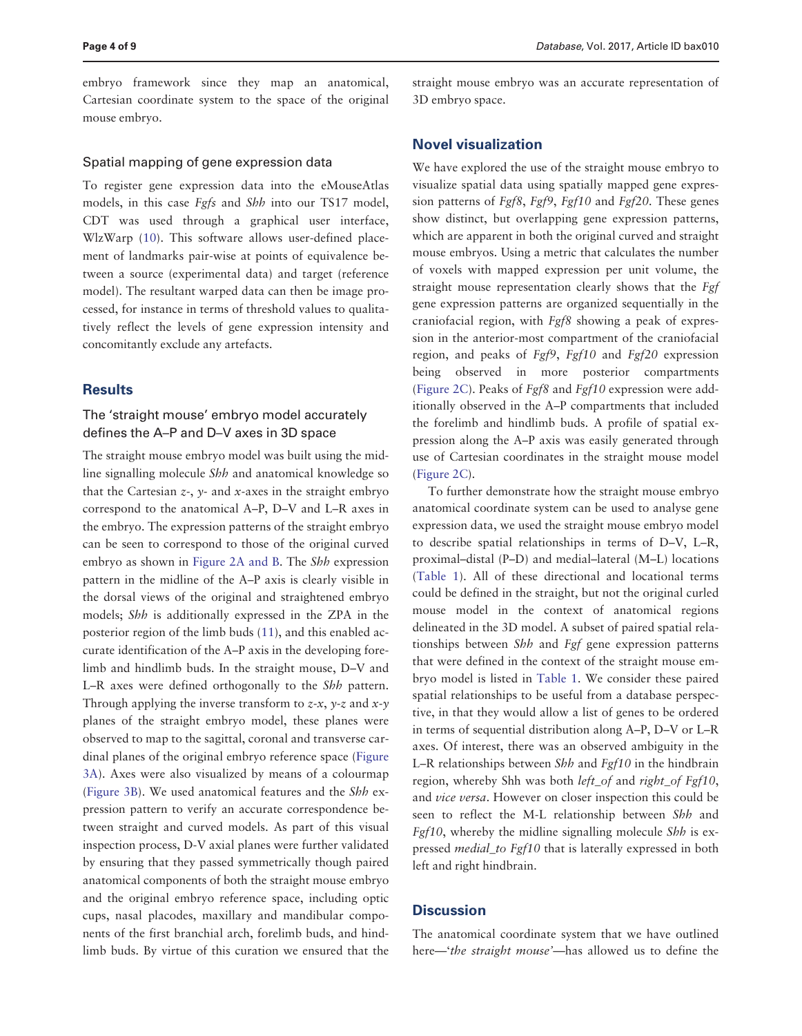embryo framework since they map an anatomical, Cartesian coordinate system to the space of the original mouse embryo.

#### Spatial mapping of gene expression data

To register gene expression data into the eMouseAtlas models, in this case *Fgfs* and *Shh* into our TS17 model, CDT was used through a graphical user interface, WlzWarp [\(10](#page-7-0)). This software allows user-defined placement of landmarks pair-wise at points of equivalence between a source (experimental data) and target (reference model). The resultant warped data can then be image processed, for instance in terms of threshold values to qualitatively reflect the levels of gene expression intensity and concomitantly exclude any artefacts.

#### **Results**

## The 'straight mouse' embryo model accurately defines the A–P and D–V axes in 3D space

The straight mouse embryo model was built using the midline signalling molecule Shh and anatomical knowledge so that the Cartesian  $z$ -,  $y$ - and  $x$ -axes in the straight embryo correspond to the anatomical A–P, D–V and L–R axes in the embryo. The expression patterns of the straight embryo can be seen to correspond to those of the original curved embryo as shown in [Figure 2A and B](#page-4-0). The Shh expression pattern in the midline of the A–P axis is clearly visible in the dorsal views of the original and straightened embryo models; Shh is additionally expressed in the ZPA in the posterior region of the limb buds ([11\)](#page-7-0), and this enabled accurate identification of the A–P axis in the developing forelimb and hindlimb buds. In the straight mouse, D–V and L–R axes were defined orthogonally to the Shh pattern. Through applying the inverse transform to  $z-x$ ,  $y-z$  and  $x-y$ planes of the straight embryo model, these planes were observed to map to the sagittal, coronal and transverse cardinal planes of the original embryo reference space [\(Figure](#page-5-0) [3A\)](#page-5-0). Axes were also visualized by means of a colourmap [\(Figure 3B](#page-5-0)). We used anatomical features and the Shh expression pattern to verify an accurate correspondence between straight and curved models. As part of this visual inspection process, D-V axial planes were further validated by ensuring that they passed symmetrically though paired anatomical components of both the straight mouse embryo and the original embryo reference space, including optic cups, nasal placodes, maxillary and mandibular components of the first branchial arch, forelimb buds, and hindlimb buds. By virtue of this curation we ensured that the straight mouse embryo was an accurate representation of 3D embryo space.

#### Novel visualization

We have explored the use of the straight mouse embryo to visualize spatial data using spatially mapped gene expression patterns of Fgf8, Fgf9, Fgf10 and Fgf20. These genes show distinct, but overlapping gene expression patterns, which are apparent in both the original curved and straight mouse embryos. Using a metric that calculates the number of voxels with mapped expression per unit volume, the straight mouse representation clearly shows that the Fgf gene expression patterns are organized sequentially in the craniofacial region, with Fgf8 showing a peak of expression in the anterior-most compartment of the craniofacial region, and peaks of Fgf9, Fgf10 and Fgf20 expression being observed in more posterior compartments [\(Figure 2C\)](#page-4-0). Peaks of Fgf8 and Fgf10 expression were additionally observed in the A–P compartments that included the forelimb and hindlimb buds. A profile of spatial expression along the A–P axis was easily generated through use of Cartesian coordinates in the straight mouse model [\(Figure 2C](#page-4-0)).

To further demonstrate how the straight mouse embryo anatomical coordinate system can be used to analyse gene expression data, we used the straight mouse embryo model to describe spatial relationships in terms of D–V, L–R, proximal–distal (P–D) and medial–lateral (M–L) locations [\(Table 1\)](#page-6-0). All of these directional and locational terms could be defined in the straight, but not the original curled mouse model in the context of anatomical regions delineated in the 3D model. A subset of paired spatial relationships between Shh and Fgf gene expression patterns that were defined in the context of the straight mouse embryo model is listed in [Table 1](#page-6-0). We consider these paired spatial relationships to be useful from a database perspective, in that they would allow a list of genes to be ordered in terms of sequential distribution along A–P, D–V or L–R axes. Of interest, there was an observed ambiguity in the L–R relationships between Shh and Fgf10 in the hindbrain region, whereby Shh was both *left* of and right of Fgf10, and vice versa. However on closer inspection this could be seen to reflect the M-L relationship between Shh and Fgf10, whereby the midline signalling molecule Shh is expressed medial\_to Fgf10 that is laterally expressed in both left and right hindbrain.

## **Discussion**

The anatomical coordinate system that we have outlined here—'the straight mouse'—has allowed us to define the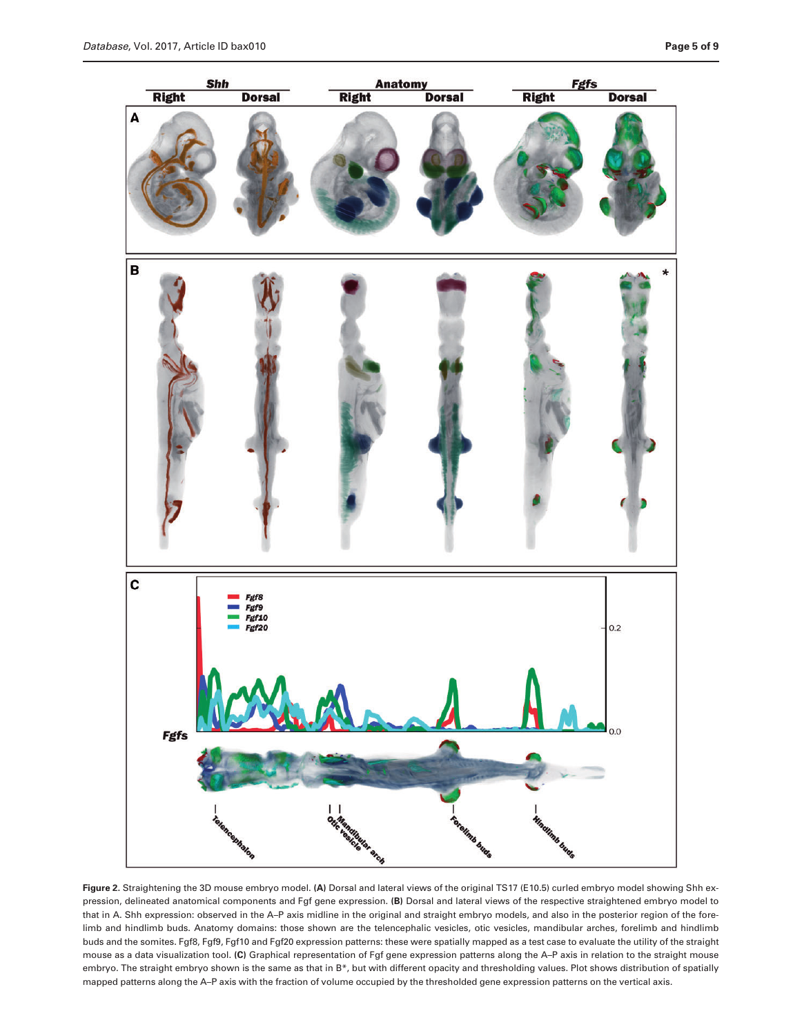<span id="page-4-0"></span>

Figure 2. Straightening the 3D mouse embryo model. (A) Dorsal and lateral views of the original TS17 (E10.5) curled embryo model showing Shh expression, delineated anatomical components and Fgf gene expression. (B) Dorsal and lateral views of the respective straightened embryo model to that in A. Shh expression: observed in the A–P axis midline in the original and straight embryo models, and also in the posterior region of the forelimb and hindlimb buds. Anatomy domains: those shown are the telencephalic vesicles, otic vesicles, mandibular arches, forelimb and hindlimb buds and the somites. Fgf8, Fgf9, Fgf10 and Fgf20 expression patterns: these were spatially mapped as a test case to evaluate the utility of the straight mouse as a data visualization tool. (C) Graphical representation of Fgf gene expression patterns along the A–P axis in relation to the straight mouse embryo. The straight embryo shown is the same as that in B\*, but with different opacity and thresholding values. Plot shows distribution of spatially mapped patterns along the A–P axis with the fraction of volume occupied by the thresholded gene expression patterns on the vertical axis.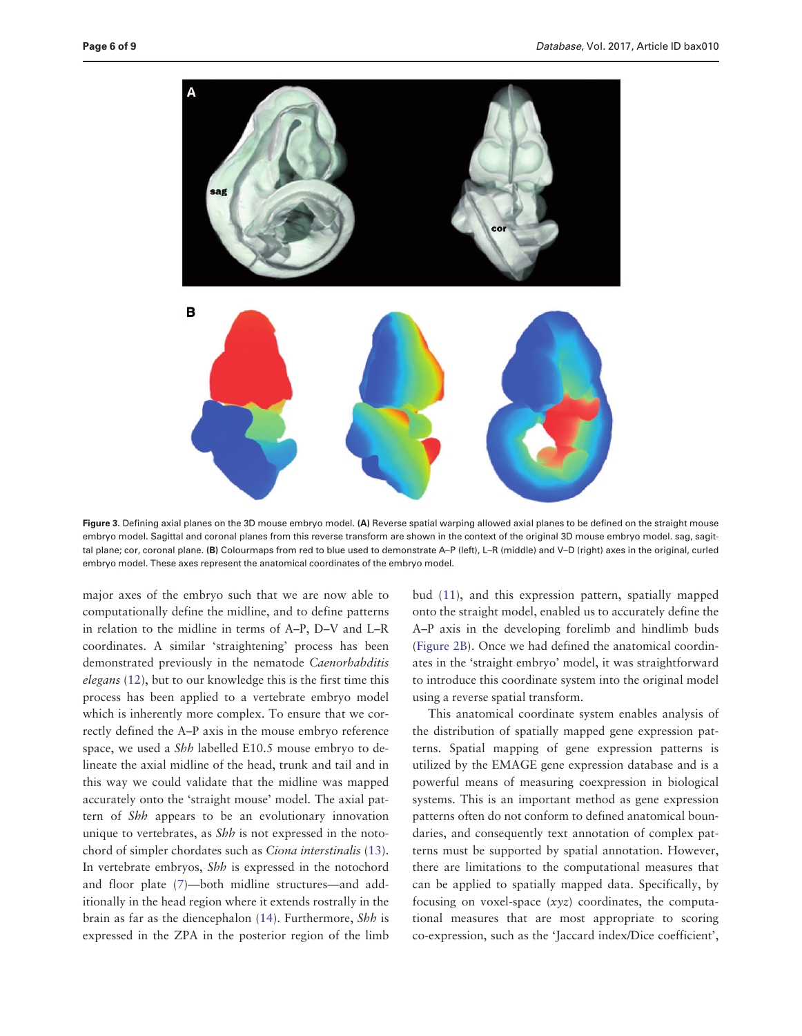<span id="page-5-0"></span>

Figure 3. Defining axial planes on the 3D mouse embryo model. (A) Reverse spatial warping allowed axial planes to be defined on the straight mouse embryo model. Sagittal and coronal planes from this reverse transform are shown in the context of the original 3D mouse embryo model. sag, sagittal plane; cor, coronal plane. (B) Colourmaps from red to blue used to demonstrate A–P (left), L–R (middle) and V–D (right) axes in the original, curled embryo model. These axes represent the anatomical coordinates of the embryo model.

major axes of the embryo such that we are now able to computationally define the midline, and to define patterns in relation to the midline in terms of A–P, D–V and L–R coordinates. A similar 'straightening' process has been demonstrated previously in the nematode Caenorhabditis elegans ([12\)](#page-7-0), but to our knowledge this is the first time this process has been applied to a vertebrate embryo model which is inherently more complex. To ensure that we correctly defined the A–P axis in the mouse embryo reference space, we used a Shh labelled E10.5 mouse embryo to delineate the axial midline of the head, trunk and tail and in this way we could validate that the midline was mapped accurately onto the 'straight mouse' model. The axial pattern of Shh appears to be an evolutionary innovation unique to vertebrates, as Shh is not expressed in the notochord of simpler chordates such as Ciona interstinalis [\(13](#page-7-0)). In vertebrate embryos, Shh is expressed in the notochord and floor plate [\(7](#page-7-0))—both midline structures—and additionally in the head region where it extends rostrally in the brain as far as the diencephalon [\(14\)](#page-7-0). Furthermore, Shh is expressed in the ZPA in the posterior region of the limb bud [\(11](#page-7-0)), and this expression pattern, spatially mapped onto the straight model, enabled us to accurately define the A–P axis in the developing forelimb and hindlimb buds [\(Figure 2B\)](#page-4-0). Once we had defined the anatomical coordinates in the 'straight embryo' model, it was straightforward to introduce this coordinate system into the original model using a reverse spatial transform.

This anatomical coordinate system enables analysis of the distribution of spatially mapped gene expression patterns. Spatial mapping of gene expression patterns is utilized by the EMAGE gene expression database and is a powerful means of measuring coexpression in biological systems. This is an important method as gene expression patterns often do not conform to defined anatomical boundaries, and consequently text annotation of complex patterns must be supported by spatial annotation. However, there are limitations to the computational measures that can be applied to spatially mapped data. Specifically, by focusing on voxel-space  $(xyz)$  coordinates, the computational measures that are most appropriate to scoring co-expression, such as the 'Jaccard index/Dice coefficient',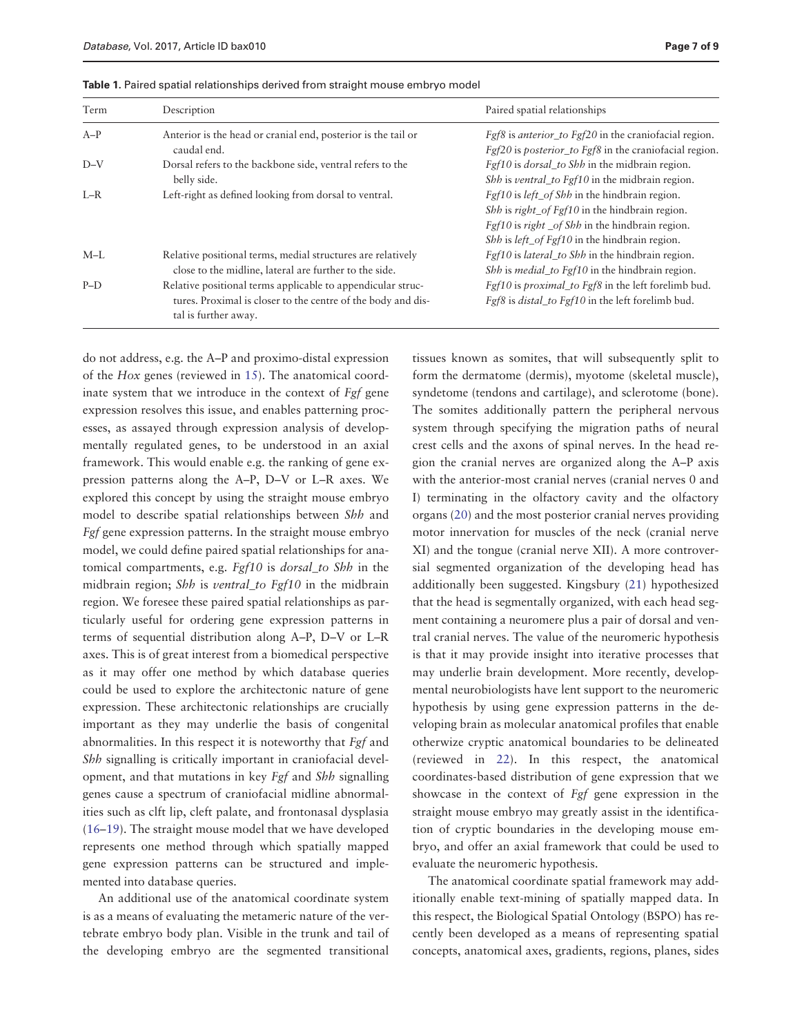<span id="page-6-0"></span>Table 1. Paired spatial relationships derived from straight mouse embryo model

| Term  | Description                                                                          | Paired spatial relationships                                    |
|-------|--------------------------------------------------------------------------------------|-----------------------------------------------------------------|
| $A-P$ | Anterior is the head or cranial end, posterior is the tail or                        | $Fgf8$ is <i>anterior_to Fgf20</i> in the craniofacial region.  |
|       | caudal end.                                                                          | $Fgf20$ is <i>posterior_to Fgf8</i> in the craniofacial region. |
| $D-V$ | Dorsal refers to the backbone side, ventral refers to the                            | <i>Fgf10</i> is <i>dorsal_to Shh</i> in the midbrain region.    |
|       | belly side.                                                                          | Shh is ventral_to Fgf10 in the midbrain region.                 |
| $L-R$ | Left-right as defined looking from dorsal to ventral.                                | Fgf10 is left_of Shh in the hindbrain region.                   |
|       |                                                                                      | Shh is right_of Fgf10 in the hindbrain region.                  |
|       |                                                                                      | $Fgf10$ is right _of Shh in the hindbrain region.               |
|       |                                                                                      | Shh is left_of Fgf10 in the hindbrain region.                   |
| $M-L$ | Relative positional terms, medial structures are relatively                          | <i>Fgf10</i> is <i>lateral_to Shh</i> in the hindbrain region.  |
|       | close to the midline, lateral are further to the side.                               | Shh is medial_to Fgf10 in the hindbrain region.                 |
| $P-D$ | Relative positional terms applicable to appendicular struc-                          | Fgf10 is proximal_to Fgf8 in the left forelimb bud.             |
|       | tures. Proximal is closer to the centre of the body and dis-<br>tal is further away. | $Fgf8$ is <i>distal_to Fgf10</i> in the left forelimb bud.      |

do not address, e.g. the A–P and proximo-distal expression of the Hox genes (reviewed in [15](#page-7-0)). The anatomical coordinate system that we introduce in the context of *Fgf* gene expression resolves this issue, and enables patterning processes, as assayed through expression analysis of developmentally regulated genes, to be understood in an axial framework. This would enable e.g. the ranking of gene expression patterns along the A–P, D–V or L–R axes. We explored this concept by using the straight mouse embryo model to describe spatial relationships between Shh and Fgf gene expression patterns. In the straight mouse embryo model, we could define paired spatial relationships for anatomical compartments, e.g. Fgf10 is dorsal\_to Shh in the midbrain region; Shh is ventral\_to Fgf10 in the midbrain region. We foresee these paired spatial relationships as particularly useful for ordering gene expression patterns in terms of sequential distribution along A–P, D–V or L–R axes. This is of great interest from a biomedical perspective as it may offer one method by which database queries could be used to explore the architectonic nature of gene expression. These architectonic relationships are crucially important as they may underlie the basis of congenital abnormalities. In this respect it is noteworthy that Fgf and Shh signalling is critically important in craniofacial development, and that mutations in key Fgf and Shh signalling genes cause a spectrum of craniofacial midline abnormalities such as clft lip, cleft palate, and frontonasal dysplasia [\(16](#page-7-0)[–19](#page-8-0)). The straight mouse model that we have developed represents one method through which spatially mapped gene expression patterns can be structured and implemented into database queries.

An additional use of the anatomical coordinate system is as a means of evaluating the metameric nature of the vertebrate embryo body plan. Visible in the trunk and tail of the developing embryo are the segmented transitional

tissues known as somites, that will subsequently split to form the dermatome (dermis), myotome (skeletal muscle), syndetome (tendons and cartilage), and sclerotome (bone). The somites additionally pattern the peripheral nervous system through specifying the migration paths of neural crest cells and the axons of spinal nerves. In the head region the cranial nerves are organized along the A–P axis with the anterior-most cranial nerves (cranial nerves 0 and I) terminating in the olfactory cavity and the olfactory organs [\(20](#page-8-0)) and the most posterior cranial nerves providing motor innervation for muscles of the neck (cranial nerve XI) and the tongue (cranial nerve XII). A more controversial segmented organization of the developing head has additionally been suggested. Kingsbury [\(21\)](#page-8-0) hypothesized that the head is segmentally organized, with each head segment containing a neuromere plus a pair of dorsal and ventral cranial nerves. The value of the neuromeric hypothesis is that it may provide insight into iterative processes that may underlie brain development. More recently, developmental neurobiologists have lent support to the neuromeric hypothesis by using gene expression patterns in the developing brain as molecular anatomical profiles that enable otherwize cryptic anatomical boundaries to be delineated (reviewed in [22](#page-8-0)). In this respect, the anatomical coordinates-based distribution of gene expression that we showcase in the context of Fgf gene expression in the straight mouse embryo may greatly assist in the identification of cryptic boundaries in the developing mouse embryo, and offer an axial framework that could be used to evaluate the neuromeric hypothesis.

The anatomical coordinate spatial framework may additionally enable text-mining of spatially mapped data. In this respect, the Biological Spatial Ontology (BSPO) has recently been developed as a means of representing spatial concepts, anatomical axes, gradients, regions, planes, sides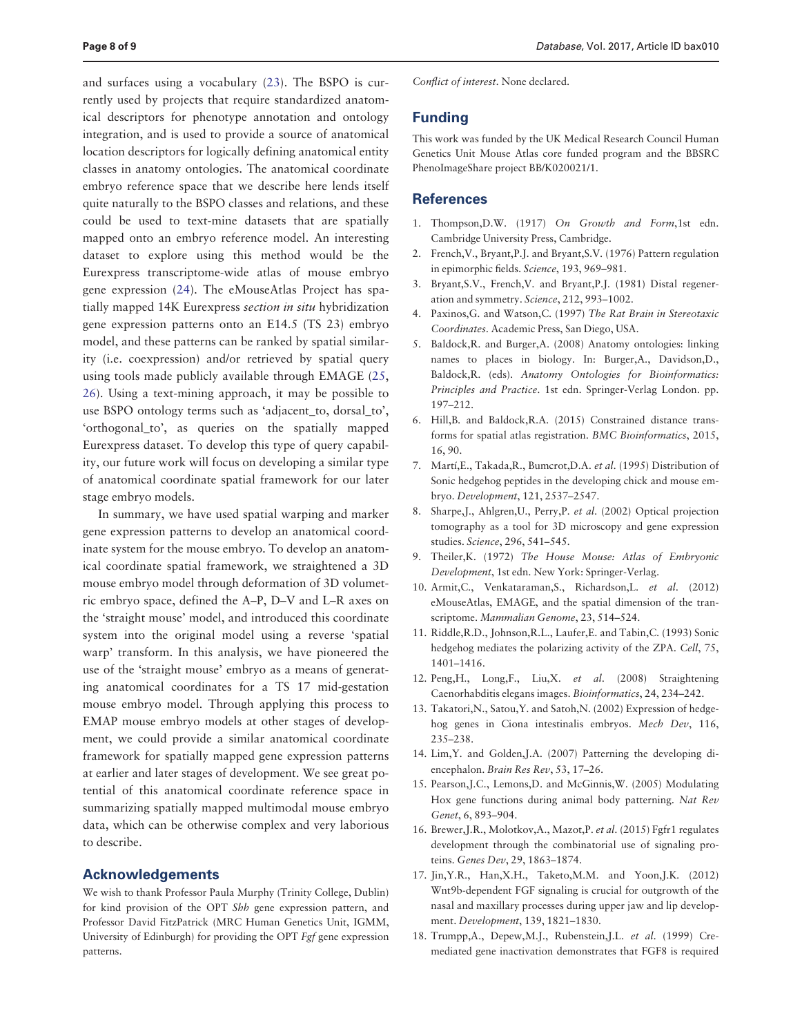<span id="page-7-0"></span>and surfaces using a vocabulary ([23\)](#page-8-0). The BSPO is currently used by projects that require standardized anatomical descriptors for phenotype annotation and ontology integration, and is used to provide a source of anatomical location descriptors for logically defining anatomical entity classes in anatomy ontologies. The anatomical coordinate embryo reference space that we describe here lends itself quite naturally to the BSPO classes and relations, and these could be used to text-mine datasets that are spatially mapped onto an embryo reference model. An interesting dataset to explore using this method would be the Eurexpress transcriptome-wide atlas of mouse embryo gene expression ([24](#page-8-0)). The eMouseAtlas Project has spatially mapped 14K Eurexpress section in situ hybridization gene expression patterns onto an E14.5 (TS 23) embryo model, and these patterns can be ranked by spatial similarity (i.e. coexpression) and/or retrieved by spatial query using tools made publicly available through EMAGE [\(25,](#page-8-0) [26](#page-8-0)). Using a text-mining approach, it may be possible to use BSPO ontology terms such as 'adjacent\_to, dorsal\_to', 'orthogonal\_to', as queries on the spatially mapped Eurexpress dataset. To develop this type of query capability, our future work will focus on developing a similar type of anatomical coordinate spatial framework for our later stage embryo models.

In summary, we have used spatial warping and marker gene expression patterns to develop an anatomical coordinate system for the mouse embryo. To develop an anatomical coordinate spatial framework, we straightened a 3D mouse embryo model through deformation of 3D volumetric embryo space, defined the A–P, D–V and L–R axes on the 'straight mouse' model, and introduced this coordinate system into the original model using a reverse 'spatial warp' transform. In this analysis, we have pioneered the use of the 'straight mouse' embryo as a means of generating anatomical coordinates for a TS 17 mid-gestation mouse embryo model. Through applying this process to EMAP mouse embryo models at other stages of development, we could provide a similar anatomical coordinate framework for spatially mapped gene expression patterns at earlier and later stages of development. We see great potential of this anatomical coordinate reference space in summarizing spatially mapped multimodal mouse embryo data, which can be otherwise complex and very laborious to describe.

#### Acknowledgements

We wish to thank Professor Paula Murphy (Trinity College, Dublin) for kind provision of the OPT Shh gene expression pattern, and Professor David FitzPatrick (MRC Human Genetics Unit, IGMM, University of Edinburgh) for providing the OPT Fgf gene expression patterns.

Conflict of interest. None declared.

#### Funding

This work was funded by the UK Medical Research Council Human Genetics Unit Mouse Atlas core funded program and the BBSRC PhenoImageShare project BB/K020021/1.

#### References

- 1. Thompson,D.W. (1917) On Growth and Form,1st edn. Cambridge University Press, Cambridge.
- 2. French,V., Bryant,P.J. and Bryant,S.V. (1976) Pattern regulation in epimorphic fields. Science, 193, 969–981.
- 3. Bryant,S.V., French,V. and Bryant,P.J. (1981) Distal regeneration and symmetry. Science, 212, 993–1002.
- 4. Paxinos,G. and Watson,C. (1997) The Rat Brain in Stereotaxic Coordinates. Academic Press, San Diego, USA.
- 5. Baldock,R. and Burger,A. (2008) Anatomy ontologies: linking names to places in biology. In: Burger,A., Davidson,D., Baldock,R. (eds). Anatomy Ontologies for Bioinformatics: Principles and Practice. 1st edn. Springer-Verlag London. pp. 197–212.
- 6. Hill,B. and Baldock,R.A. (2015) Constrained distance transforms for spatial atlas registration. BMC Bioinformatics, 2015, 16, 90.
- 7. Martí, E., Takada, R., Bumcrot, D.A. et al. (1995) Distribution of Sonic hedgehog peptides in the developing chick and mouse embryo. Development, 121, 2537–2547.
- 8. Sharpe,J., Ahlgren,U., Perry,P. et al. (2002) Optical projection tomography as a tool for 3D microscopy and gene expression studies. Science, 296, 541–545.
- 9. Theiler,K. (1972) The House Mouse: Atlas of Embryonic Development, 1st edn. New York: Springer-Verlag.
- 10. Armit,C., Venkataraman,S., Richardson,L. et al. (2012) eMouseAtlas, EMAGE, and the spatial dimension of the transcriptome. Mammalian Genome, 23, 514–524.
- 11. Riddle,R.D., Johnson,R.L., Laufer,E. and Tabin,C. (1993) Sonic hedgehog mediates the polarizing activity of the ZPA. Cell, 75, 1401–1416.
- 12. Peng,H., Long,F., Liu,X. et al. (2008) Straightening Caenorhabditis elegans images. Bioinformatics, 24, 234–242.
- 13. Takatori,N., Satou,Y. and Satoh,N. (2002) Expression of hedgehog genes in Ciona intestinalis embryos. Mech Dev, 116, 235–238.
- 14. Lim,Y. and Golden,J.A. (2007) Patterning the developing diencephalon. Brain Res Rev, 53, 17–26.
- 15. Pearson,J.C., Lemons,D. and McGinnis,W. (2005) Modulating Hox gene functions during animal body patterning. Nat Rev Genet, 6, 893–904.
- 16. Brewer,J.R., Molotkov,A., Mazot,P. et al. (2015) Fgfr1 regulates development through the combinatorial use of signaling proteins. Genes Dev, 29, 1863–1874.
- 17. Jin,Y.R., Han,X.H., Taketo,M.M. and Yoon,J.K. (2012) Wnt9b-dependent FGF signaling is crucial for outgrowth of the nasal and maxillary processes during upper jaw and lip development. Development, 139, 1821–1830.
- 18. Trumpp,A., Depew,M.J., Rubenstein,J.L. et al. (1999) Cremediated gene inactivation demonstrates that FGF8 is required